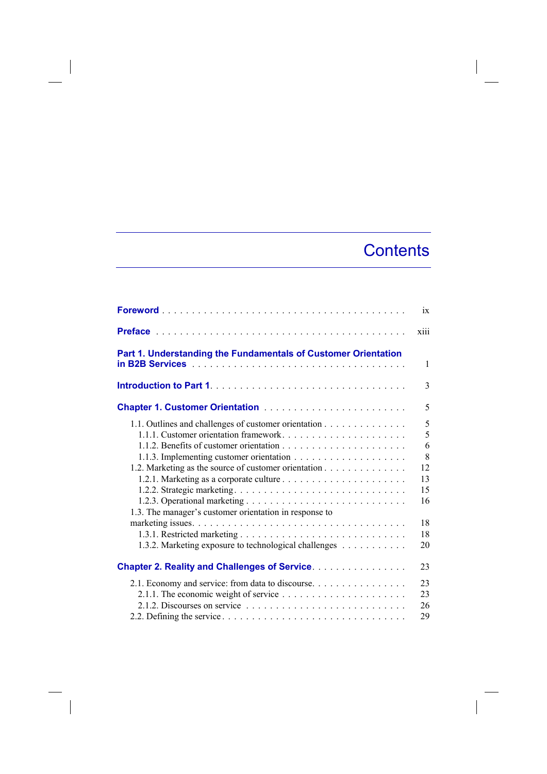## **Contents**

 $\overline{\phantom{a}}$ 

|                                                                                                                                                                                                                                                                          | ix                                                         |
|--------------------------------------------------------------------------------------------------------------------------------------------------------------------------------------------------------------------------------------------------------------------------|------------------------------------------------------------|
|                                                                                                                                                                                                                                                                          | xiii                                                       |
| Part 1. Understanding the Fundamentals of Customer Orientation                                                                                                                                                                                                           | $\mathbf{1}$                                               |
|                                                                                                                                                                                                                                                                          | 3                                                          |
|                                                                                                                                                                                                                                                                          | 5                                                          |
| 1.1. Outlines and challenges of customer orientation<br>1.1.1. Customer orientation framework<br>1.2. Marketing as the source of customer orientation<br>1.3. The manager's customer orientation in response to<br>1.3.2. Marketing exposure to technological challenges | 5<br>5<br>6<br>8<br>12<br>13<br>15<br>16<br>18<br>18<br>20 |
| <b>Chapter 2. Reality and Challenges of Service.</b>                                                                                                                                                                                                                     | 23                                                         |
| 2.1. Economy and service: from data to discourse.                                                                                                                                                                                                                        | 23<br>23<br>26<br>29                                       |

 $\begin{array}{c} \hline \end{array}$ 

 $\overline{\phantom{a}}$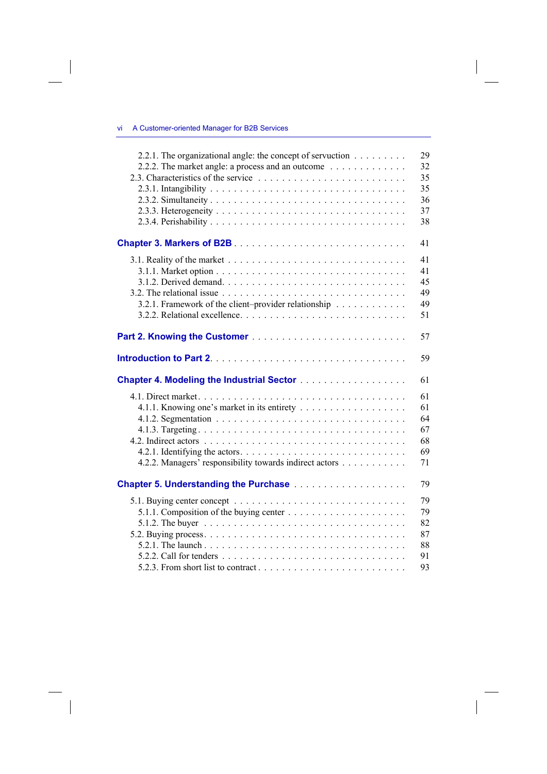## vi A Customer-oriented Manager for B2B Services

 $\overline{\phantom{a}}$ 

 $\begin{array}{c} \hline \end{array}$ 

| 2.2.1. The organizational angle: the concept of servuction<br>2.2.2. The market angle: a process and an outcome $\dots \dots \dots \dots$ | 29<br>32<br>35<br>35<br>36<br>37<br>38 |
|-------------------------------------------------------------------------------------------------------------------------------------------|----------------------------------------|
|                                                                                                                                           | 41                                     |
| 3.2.1. Framework of the client-provider relationship                                                                                      | 41<br>41<br>45<br>49<br>49<br>51       |
|                                                                                                                                           | 57                                     |
|                                                                                                                                           | 59                                     |
|                                                                                                                                           | 61                                     |
| 4.2.2. Managers' responsibility towards indirect actors                                                                                   | 61<br>61<br>64<br>67<br>68<br>69<br>71 |
|                                                                                                                                           | 79                                     |
|                                                                                                                                           | 79<br>79<br>82<br>87<br>88<br>91       |

 $\overline{\phantom{a}}$ 

 $\overline{\phantom{a}}$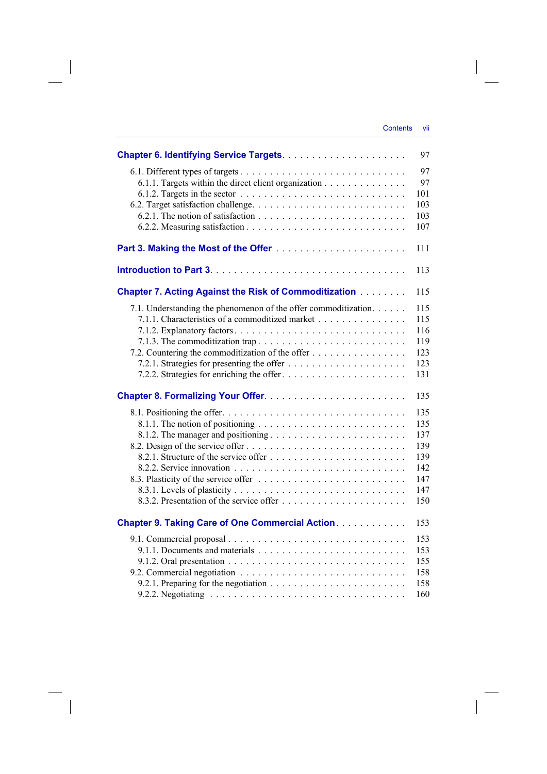|                                                                                                                                                                                                           | 97                                                          |
|-----------------------------------------------------------------------------------------------------------------------------------------------------------------------------------------------------------|-------------------------------------------------------------|
| 6.1.1. Targets within the direct client organization<br>6.1.2. Targets in the sector $\ldots \ldots \ldots \ldots \ldots \ldots \ldots \ldots \ldots$                                                     | 97<br>97<br>101<br>103<br>103<br>107                        |
|                                                                                                                                                                                                           | 111                                                         |
|                                                                                                                                                                                                           | 113                                                         |
| <b>Chapter 7. Acting Against the Risk of Commoditization Administration</b>                                                                                                                               | 115                                                         |
| 7.1. Understanding the phenomenon of the offer commoditization.<br>7.1.1. Characteristics of a commoditized market<br>7.1.3. The commoditization trap<br>7.2. Countering the commoditization of the offer | 115<br>115<br>116<br>119<br>123<br>123<br>131               |
|                                                                                                                                                                                                           | 135                                                         |
|                                                                                                                                                                                                           | 135<br>135<br>137<br>139<br>139<br>142<br>147<br>147<br>150 |
| <b>Chapter 9. Taking Care of One Commercial Action</b>                                                                                                                                                    | 153                                                         |
|                                                                                                                                                                                                           | 153<br>153<br>155<br>158<br>158<br>160                      |